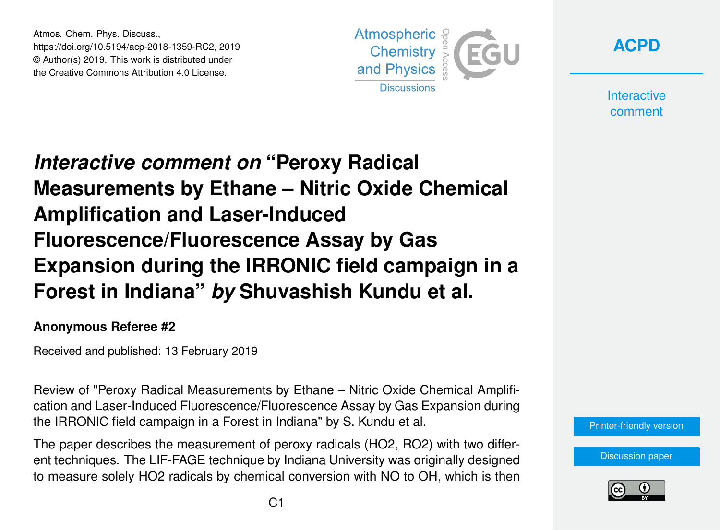Atmos. Chem. Phys. Discuss., https://doi.org/10.5194/acp-2018-1359-RC2, 2019 © Author(s) 2019. This work is distributed under the Creative Commons Attribution 4.0 License.



**[ACPD](https://www.atmos-chem-phys-discuss.net/)**

**Interactive** comment

## *Interactive comment on* **"Peroxy Radical Measurements by Ethane – Nitric Oxide Chemical Amplification and Laser-Induced Fluorescence/Fluorescence Assay by Gas Expansion during the IRRONIC field campaign in a Forest in Indiana"** *by* **Shuvashish Kundu et al.**

## **Anonymous Referee #2**

Received and published: 13 February 2019

Review of "Peroxy Radical Measurements by Ethane – Nitric Oxide Chemical Amplification and Laser-Induced Fluorescence/Fluorescence Assay by Gas Expansion during the IRRONIC field campaign in a Forest in Indiana" by S. Kundu et al.

The paper describes the measurement of peroxy radicals (HO2, RO2) with two different techniques. The LIF-FAGE technique by Indiana University was originally designed to measure solely HO2 radicals by chemical conversion with NO to OH, which is then

[Printer-friendly version](https://www.atmos-chem-phys-discuss.net/acp-2018-1359/acp-2018-1359-RC2-print.pdf)

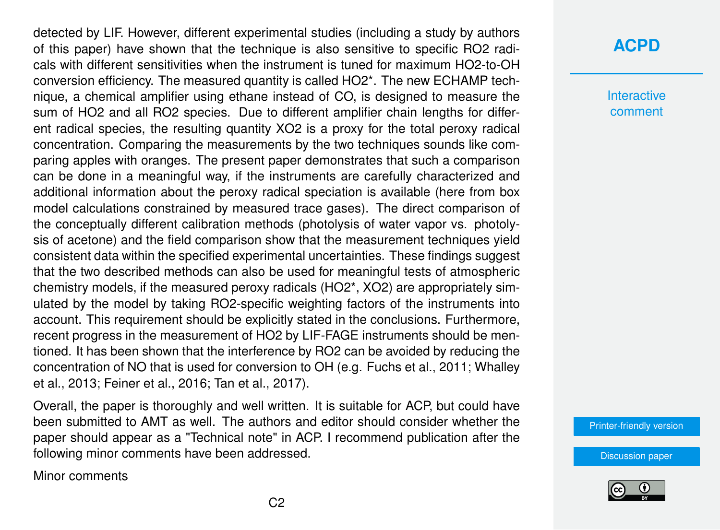detected by LIF. However, different experimental studies (including a study by authors of this paper) have shown that the technique is also sensitive to specific RO2 radicals with different sensitivities when the instrument is tuned for maximum HO2-to-OH conversion efficiency. The measured quantity is called HO2\*. The new ECHAMP technique, a chemical amplifier using ethane instead of CO, is designed to measure the sum of HO2 and all RO2 species. Due to different amplifier chain lengths for different radical species, the resulting quantity XO2 is a proxy for the total peroxy radical concentration. Comparing the measurements by the two techniques sounds like comparing apples with oranges. The present paper demonstrates that such a comparison can be done in a meaningful way, if the instruments are carefully characterized and additional information about the peroxy radical speciation is available (here from box model calculations constrained by measured trace gases). The direct comparison of the conceptually different calibration methods (photolysis of water vapor vs. photolysis of acetone) and the field comparison show that the measurement techniques yield consistent data within the specified experimental uncertainties. These findings suggest that the two described methods can also be used for meaningful tests of atmospheric chemistry models, if the measured peroxy radicals (HO2\*, XO2) are appropriately simulated by the model by taking RO2-specific weighting factors of the instruments into account. This requirement should be explicitly stated in the conclusions. Furthermore, recent progress in the measurement of HO2 by LIF-FAGE instruments should be mentioned. It has been shown that the interference by RO2 can be avoided by reducing the concentration of NO that is used for conversion to OH (e.g. Fuchs et al., 2011; Whalley et al., 2013; Feiner et al., 2016; Tan et al., 2017).

Overall, the paper is thoroughly and well written. It is suitable for ACP, but could have been submitted to AMT as well. The authors and editor should consider whether the paper should appear as a "Technical note" in ACP. I recommend publication after the following minor comments have been addressed.

Minor comments

## **[ACPD](https://www.atmos-chem-phys-discuss.net/)**

**Interactive** comment

[Printer-friendly version](https://www.atmos-chem-phys-discuss.net/acp-2018-1359/acp-2018-1359-RC2-print.pdf)

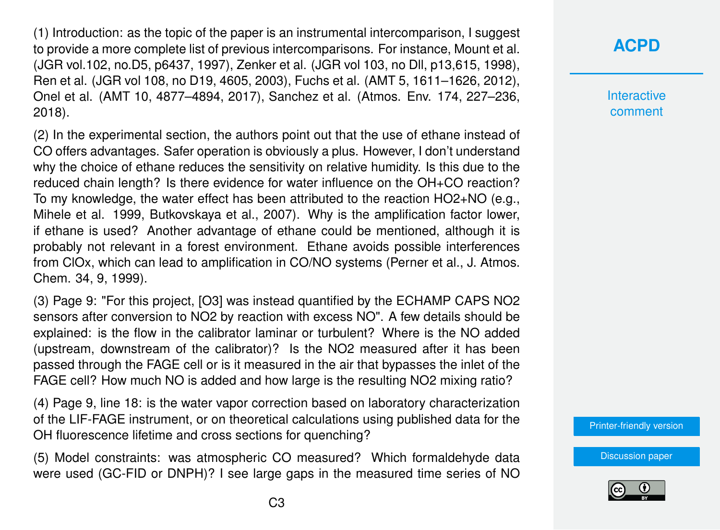(1) Introduction: as the topic of the paper is an instrumental intercomparison. I suggest to provide a more complete list of previous intercomparisons. For instance, Mount et al. (JGR vol.102, no.D5, p6437, 1997), Zenker et al. (JGR vol 103, no Dll, p13,615, 1998), Ren et al. (JGR vol 108, no D19, 4605, 2003), Fuchs et al. (AMT 5, 1611–1626, 2012), Onel et al. (AMT 10, 4877–4894, 2017), Sanchez et al. (Atmos. Env. 174, 227–236, 2018).

(2) In the experimental section, the authors point out that the use of ethane instead of CO offers advantages. Safer operation is obviously a plus. However, I don't understand why the choice of ethane reduces the sensitivity on relative humidity. Is this due to the reduced chain length? Is there evidence for water influence on the OH+CO reaction? To my knowledge, the water effect has been attributed to the reaction HO2+NO (e.g., Mihele et al. 1999, Butkovskaya et al., 2007). Why is the amplification factor lower, if ethane is used? Another advantage of ethane could be mentioned, although it is probably not relevant in a forest environment. Ethane avoids possible interferences from ClOx, which can lead to amplification in CO/NO systems (Perner et al., J. Atmos. Chem. 34, 9, 1999).

(3) Page 9: "For this project, [O3] was instead quantified by the ECHAMP CAPS NO2 sensors after conversion to NO2 by reaction with excess NO". A few details should be explained: is the flow in the calibrator laminar or turbulent? Where is the NO added (upstream, downstream of the calibrator)? Is the NO2 measured after it has been passed through the FAGE cell or is it measured in the air that bypasses the inlet of the FAGE cell? How much NO is added and how large is the resulting NO2 mixing ratio?

(4) Page 9, line 18: is the water vapor correction based on laboratory characterization of the LIF-FAGE instrument, or on theoretical calculations using published data for the OH fluorescence lifetime and cross sections for quenching?

(5) Model constraints: was atmospheric CO measured? Which formaldehyde data were used (GC-FID or DNPH)? I see large gaps in the measured time series of NO Interactive comment

[Printer-friendly version](https://www.atmos-chem-phys-discuss.net/acp-2018-1359/acp-2018-1359-RC2-print.pdf)